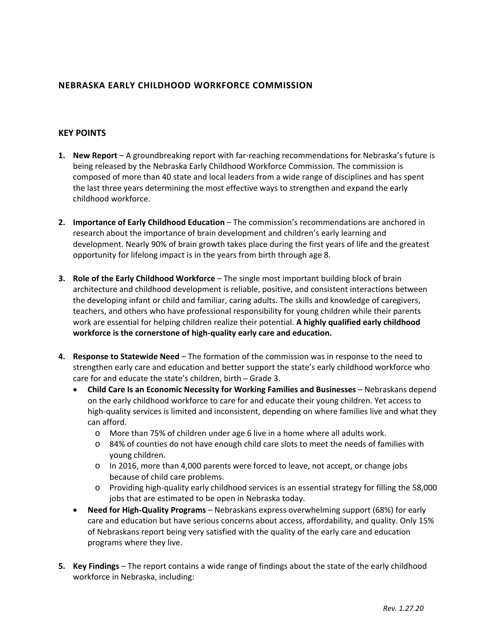## **NEBRASKA EARLY CHILDHOOD WORKFORCE COMMISSION**

## **KEY POINTS**

- **1. New Report** A groundbreaking report with far‐reaching recommendations for Nebraska's future is being released by the Nebraska Early Childhood Workforce Commission. The commission is composed of more than 40 state and local leaders from a wide range of disciplines and has spent the last three years determining the most effective ways to strengthen and expand the early childhood workforce.
- **2. Importance of Early Childhood Education** The commission's recommendations are anchored in research about the importance of brain development and children's early learning and development. Nearly 90% of brain growth takes place during the first years of life and the greatest opportunity for lifelong impact is in the years from birth through age 8.
- **3. Role of the Early Childhood Workforce** The single most important building block of brain architecture and childhood development is reliable, positive, and consistent interactions between the developing infant or child and familiar, caring adults. The skills and knowledge of caregivers, teachers, and others who have professional responsibility for young children while their parents work are essential for helping children realize their potential. **A highly qualified early childhood workforce is the cornerstone of high‐quality early care and education.**
- **4. Response to Statewide Need**  The formation of the commission was in response to the need to strengthen early care and education and better support the state's early childhood workforce who care for and educate the state's children, birth - Grade 3.
	- **Child Care Is an Economic Necessity for Working Families and Businesses**  Nebraskans depend on the early childhood workforce to care for and educate their young children. Yet access to high-quality services is limited and inconsistent, depending on where families live and what they can afford.
		- o More than 75% of children under age 6 live in a home where all adults work.
		- o 84% of counties do not have enough child care slots to meet the needs of families with young children.
		- o In 2016, more than 4,000 parents were forced to leave, not accept, or change jobs because of child care problems.
		- o Providing high‐quality early childhood services is an essential strategy for filling the 58,000 jobs that are estimated to be open in Nebraska today.
	- **Need for High‐Quality Programs** Nebraskans express overwhelming support (68%) for early care and education but have serious concerns about access, affordability, and quality. Only 15% of Nebraskans report being very satisfied with the quality of the early care and education programs where they live.
- **5. Key Findings**  The report contains a wide range of findings about the state of the early childhood workforce in Nebraska, including: